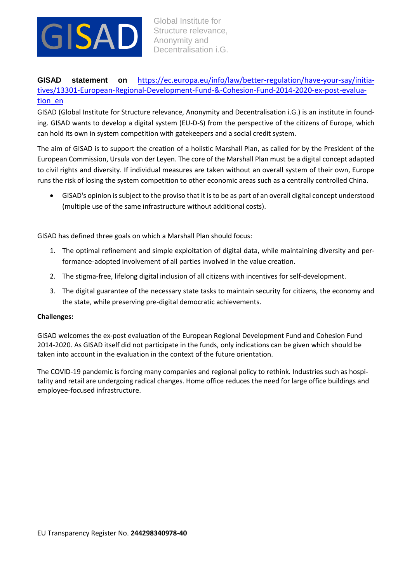

**GISAD statement on** [https://ec.europa.eu/info/law/better-regulation/have-your-say/initia](https://ec.europa.eu/info/law/better-regulation/have-your-say/initiatives/13301-European-Regional-Development-Fund-&-Cohesion-Fund-2014-2020-ex-post-evaluation_en)[tives/13301-European-Regional-Development-Fund-&-Cohesion-Fund-2014-2020-ex-post-evalua](https://ec.europa.eu/info/law/better-regulation/have-your-say/initiatives/13301-European-Regional-Development-Fund-&-Cohesion-Fund-2014-2020-ex-post-evaluation_en)[tion\\_en](https://ec.europa.eu/info/law/better-regulation/have-your-say/initiatives/13301-European-Regional-Development-Fund-&-Cohesion-Fund-2014-2020-ex-post-evaluation_en)

GISAD (Global Institute for Structure relevance, Anonymity and Decentralisation i.G.) is an institute in founding. GISAD wants to develop a digital system (EU-D-S) from the perspective of the citizens of Europe, which can hold its own in system competition with gatekeepers and a social credit system.

The aim of GISAD is to support the creation of a holistic Marshall Plan, as called for by the President of the European Commission, Ursula von der Leyen. The core of the Marshall Plan must be a digital concept adapted to civil rights and diversity. If individual measures are taken without an overall system of their own, Europe runs the risk of losing the system competition to other economic areas such as a centrally controlled China.

 GISAD's opinion is subject to the proviso that it is to be as part of an overall digital concept understood (multiple use of the same infrastructure without additional costs).

GISAD has defined three goals on which a Marshall Plan should focus:

- 1. The optimal refinement and simple exploitation of digital data, while maintaining diversity and performance-adopted involvement of all parties involved in the value creation.
- 2. The stigma-free, lifelong digital inclusion of all citizens with incentives for self-development.
- 3. The digital guarantee of the necessary state tasks to maintain security for citizens, the economy and the state, while preserving pre-digital democratic achievements.

## **Challenges:**

GISAD welcomes the ex-post evaluation of the European Regional Development Fund and Cohesion Fund 2014-2020. As GISAD itself did not participate in the funds, only indications can be given which should be taken into account in the evaluation in the context of the future orientation.

The COVID-19 pandemic is forcing many companies and regional policy to rethink. Industries such as hospitality and retail are undergoing radical changes. Home office reduces the need for large office buildings and employee-focused infrastructure.